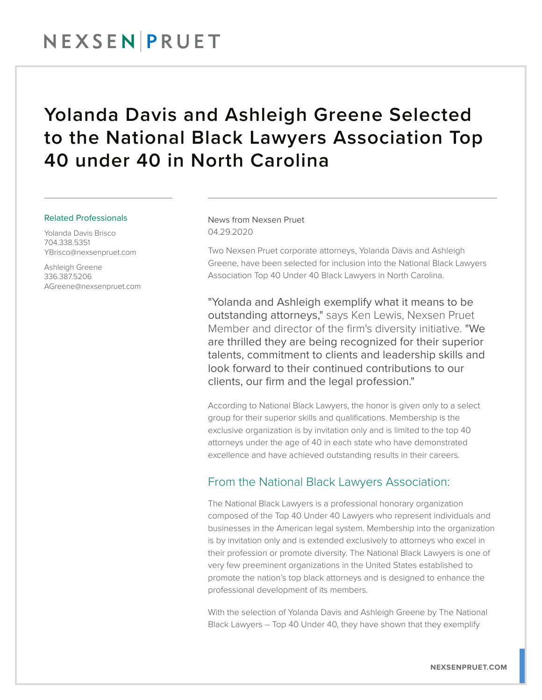## Yolanda Davis and Ashleigh Greene Selected to the National Black Lawyers Association Top 40 under 40 in North Carolina

## Related Professionals

Yolanda Davis Brisco 704.338.5351 YBrisco@nexsenpruet.com

Ashleigh Greene 336.387.5206 AGreene@nexsenpruet.com News from Nexsen Pruet 04.29.2020

Two Nexsen Pruet corporate attorneys, Yolanda Davis and Ashleigh Greene, have been selected for inclusion into the National Black Lawyers Association Top 40 Under 40 Black Lawyers in North Carolina.

"Yolanda and Ashleigh exemplify what it means to be outstanding attorneys," says Ken Lewis, Nexsen Pruet Member and director of the firm's diversity initiative. "We are thrilled they are being recognized for their superior talents, commitment to clients and leadership skills and look forward to their continued contributions to our clients, our firm and the legal profession."

According to National Black Lawyers, the honor is given only to a select group for their superior skills and qualifications. Membership is the exclusive organization is by invitation only and is limited to the top 40 attorneys under the age of 40 in each state who have demonstrated excellence and have achieved outstanding results in their careers.

## From the National Black Lawyers Association:

The National Black Lawyers is a professional honorary organization composed of the Top 40 Under 40 Lawyers who represent individuals and businesses in the American legal system. Membership into the organization is by invitation only and is extended exclusively to attorneys who excel in their profession or promote diversity. The National Black Lawyers is one of very few preeminent organizations in the United States established to promote the nation's top black attorneys and is designed to enhance the professional development of its members.

With the selection of Yolanda Davis and Ashleigh Greene by The National Black Lawyers – Top 40 Under 40, they have shown that they exemplify